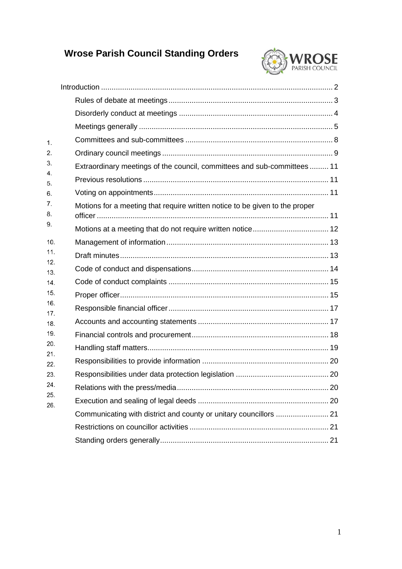# **Wrose Parish Council Standing Orders**



| 1.         |                                                                             |
|------------|-----------------------------------------------------------------------------|
| 2.         |                                                                             |
| 3.<br>4.   | Extraordinary meetings of the council, committees and sub-committees  11    |
| 5.         |                                                                             |
| 6.         |                                                                             |
| 7.<br>8.   | Motions for a meeting that require written notice to be given to the proper |
| 9.         |                                                                             |
| 10.        |                                                                             |
| 11.        |                                                                             |
| 12.<br>13. |                                                                             |
| 14.        |                                                                             |
| 15.        |                                                                             |
| 16.<br>17. |                                                                             |
| 18.        |                                                                             |
| 19.        |                                                                             |
| 20.<br>21. |                                                                             |
| 22.        |                                                                             |
| 23.        |                                                                             |
| 24.<br>25. |                                                                             |
| 26.        |                                                                             |
|            |                                                                             |
|            |                                                                             |
|            |                                                                             |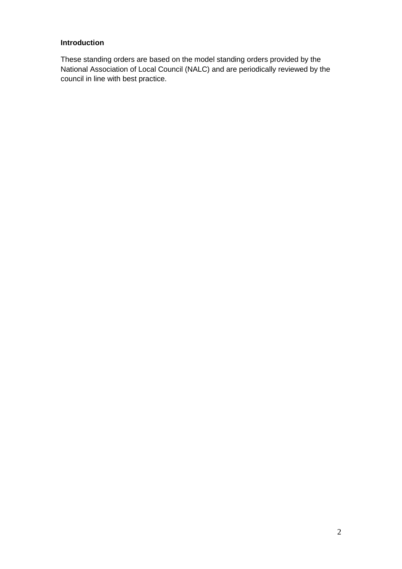## <span id="page-1-0"></span>**Introduction**

These standing orders are based on the model standing orders provided by the National Association of Local Council (NALC) and are periodically reviewed by the council in line with best practice.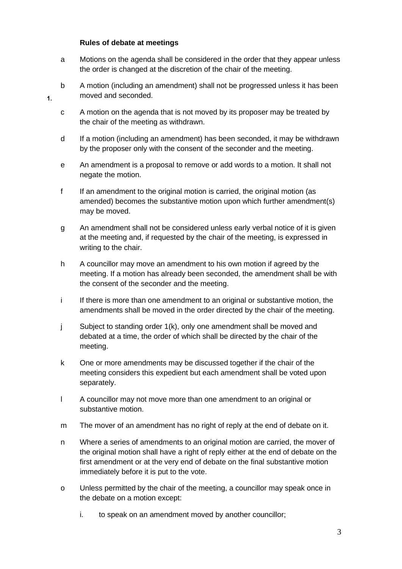#### **Rules of debate at meetings**

 $\overline{1}$ .

- <span id="page-2-0"></span>a Motions on the agenda shall be considered in the order that they appear unless the order is changed at the discretion of the chair of the meeting.
- b A motion (including an amendment) shall not be progressed unless it has been moved and seconded.
- c A motion on the agenda that is not moved by its proposer may be treated by the chair of the meeting as withdrawn.
- d If a motion (including an amendment) has been seconded, it may be withdrawn by the proposer only with the consent of the seconder and the meeting.
- e An amendment is a proposal to remove or add words to a motion. It shall not negate the motion.
- f If an amendment to the original motion is carried, the original motion (as amended) becomes the substantive motion upon which further amendment(s) may be moved.
- g An amendment shall not be considered unless early verbal notice of it is given at the meeting and, if requested by the chair of the meeting, is expressed in writing to the chair.
- h A councillor may move an amendment to his own motion if agreed by the meeting. If a motion has already been seconded, the amendment shall be with the consent of the seconder and the meeting.
- i If there is more than one amendment to an original or substantive motion, the amendments shall be moved in the order directed by the chair of the meeting.
- j Subject to standing order 1(k), only one amendment shall be moved and debated at a time, the order of which shall be directed by the chair of the meeting.
- k One or more amendments may be discussed together if the chair of the meeting considers this expedient but each amendment shall be voted upon separately.
- l A councillor may not move more than one amendment to an original or substantive motion.
- m The mover of an amendment has no right of reply at the end of debate on it.
- n Where a series of amendments to an original motion are carried, the mover of the original motion shall have a right of reply either at the end of debate on the first amendment or at the very end of debate on the final substantive motion immediately before it is put to the vote.
- o Unless permitted by the chair of the meeting, a councillor may speak once in the debate on a motion except:
	- i. to speak on an amendment moved by another councillor;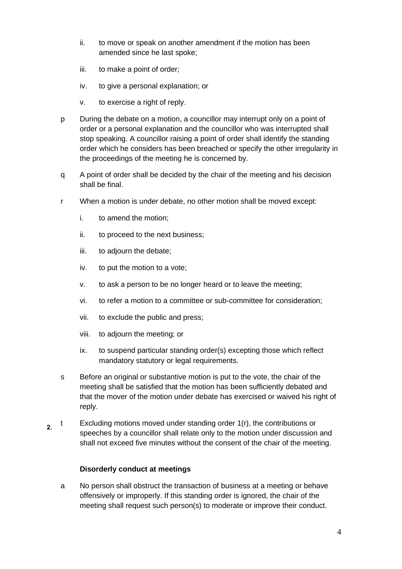- ii. to move or speak on another amendment if the motion has been amended since he last spoke;
- iii. to make a point of order;
- iv. to give a personal explanation; or
- v. to exercise a right of reply.
- p During the debate on a motion, a councillor may interrupt only on a point of order or a personal explanation and the councillor who was interrupted shall stop speaking. A councillor raising a point of order shall identify the standing order which he considers has been breached or specify the other irregularity in the proceedings of the meeting he is concerned by.
- q A point of order shall be decided by the chair of the meeting and his decision shall be final.
- r When a motion is under debate, no other motion shall be moved except:
	- i. to amend the motion;
	- ii. to proceed to the next business;
	- iii. to adjourn the debate;
	- iv. to put the motion to a vote;
	- v. to ask a person to be no longer heard or to leave the meeting;
	- vi. to refer a motion to a committee or sub-committee for consideration;
	- vii. to exclude the public and press;
	- viii. to adjourn the meeting; or
	- ix. to suspend particular standing order(s) excepting those which reflect mandatory statutory or legal requirements.
- s Before an original or substantive motion is put to the vote, the chair of the meeting shall be satisfied that the motion has been sufficiently debated and that the mover of the motion under debate has exercised or waived his right of reply.
- t Excluding motions moved under standing order 1(r), the contributions or  $2.$ speeches by a councillor shall relate only to the motion under discussion and shall not exceed five minutes without the consent of the chair of the meeting.

#### **Disorderly conduct at meetings**

<span id="page-3-0"></span>a No person shall obstruct the transaction of business at a meeting or behave offensively or improperly. If this standing order is ignored, the chair of the meeting shall request such person(s) to moderate or improve their conduct.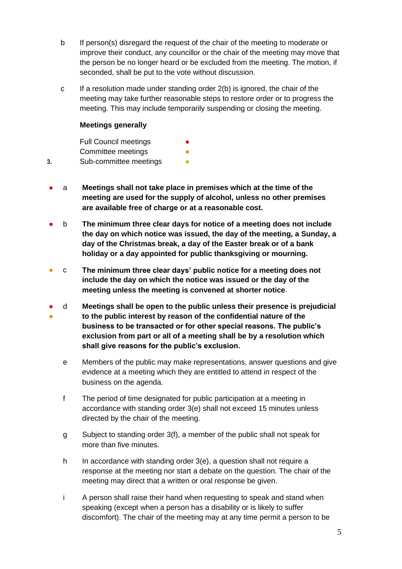- b If person(s) disregard the request of the chair of the meeting to moderate or improve their conduct, any councillor or the chair of the meeting may move that the person be no longer heard or be excluded from the meeting. The motion, if seconded, shall be put to the vote without discussion.
- c If a resolution made under standing order 2(b) is ignored, the chair of the meeting may take further reasonable steps to restore order or to progress the meeting. This may include temporarily suspending or closing the meeting.

#### <span id="page-4-0"></span>**Meetings generally**

 $3.$ 

Full Council meetings Committee meetings Sub-committee meetings

- a **Meetings shall not take place in premises which at the time of the meeting are used for the supply of alcohol, unless no other premises are available free of charge or at a reasonable cost.**
- b **The minimum three clear days for notice of a meeting does not include the day on which notice was issued, the day of the meeting, a Sunday, a day of the Christmas break, a day of the Easter break or of a bank holiday or a day appointed for public thanksgiving or mourning.**
- c **The minimum three clear days' public notice for a meeting does not include the day on which the notice was issued or the day of the meeting unless the meeting is convened at shorter notice**.
- ● d **Meetings shall be open to the public unless their presence is prejudicial to the public interest by reason of the confidential nature of the business to be transacted or for other special reasons. The public's exclusion from part or all of a meeting shall be by a resolution which shall give reasons for the public's exclusion.**
	- e Members of the public may make representations, answer questions and give evidence at a meeting which they are entitled to attend in respect of the business on the agenda.
	- f The period of time designated for public participation at a meeting in accordance with standing order 3(e) shall not exceed 15 minutes unless directed by the chair of the meeting.
	- g Subject to standing order 3(f), a member of the public shall not speak for more than five minutes.
	- h In accordance with standing order 3(e), a question shall not require a response at the meeting nor start a debate on the question. The chair of the meeting may direct that a written or oral response be given.
	- i A person shall raise their hand when requesting to speak and stand when speaking (except when a person has a disability or is likely to suffer discomfort). The chair of the meeting may at any time permit a person to be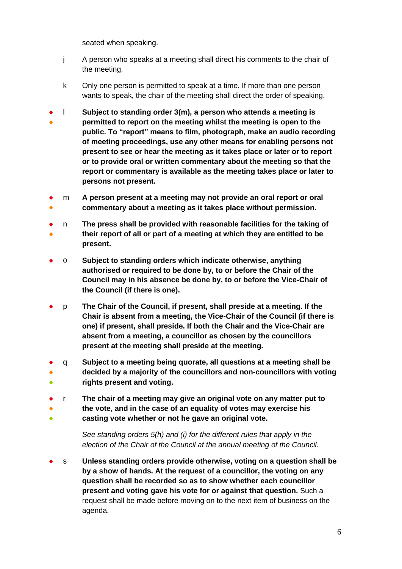seated when speaking.

- j A person who speaks at a meeting shall direct his comments to the chair of the meeting.
- k Only one person is permitted to speak at a time. If more than one person wants to speak, the chair of the meeting shall direct the order of speaking.
- ● l **Subject to standing order 3(m), a person who attends a meeting is permitted to report on the meeting whilst the meeting is open to the public. To "report" means to film, photograph, make an audio recording of meeting proceedings, use any other means for enabling persons not present to see or hear the meeting as it takes place or later or to report or to provide oral or written commentary about the meeting so that the report or commentary is available as the meeting takes place or later to persons not present.**
- ● m **A person present at a meeting may not provide an oral report or oral commentary about a meeting as it takes place without permission.**
- ● n **The press shall be provided with reasonable facilities for the taking of their report of all or part of a meeting at which they are entitled to be present.**
- o **Subject to standing orders which indicate otherwise, anything authorised or required to be done by, to or before the Chair of the Council may in his absence be done by, to or before the Vice-Chair of the Council (if there is one).**
- p **The Chair of the Council, if present, shall preside at a meeting. If the Chair is absent from a meeting, the Vice-Chair of the Council (if there is one) if present, shall preside. If both the Chair and the Vice-Chair are absent from a meeting, a councillor as chosen by the councillors present at the meeting shall preside at the meeting.**
- ● ● q **Subject to a meeting being quorate, all questions at a meeting shall be decided by a majority of the councillors and non-councillors with voting rights present and voting.**
- r **The chair of a meeting may give an original vote on any matter put to**
- **the vote, and in the case of an equality of votes may exercise his**
- **casting vote whether or not he gave an original vote.**

*See standing orders 5(h) and (i) for the different rules that apply in the election of the Chair of the Council at the annual meeting of the Council.*

s Unless standing orders provide otherwise, voting on a question shall be **by a show of hands. At the request of a councillor, the voting on any question shall be recorded so as to show whether each councillor present and voting gave his vote for or against that question.** Such a request shall be made before moving on to the next item of business on the agenda.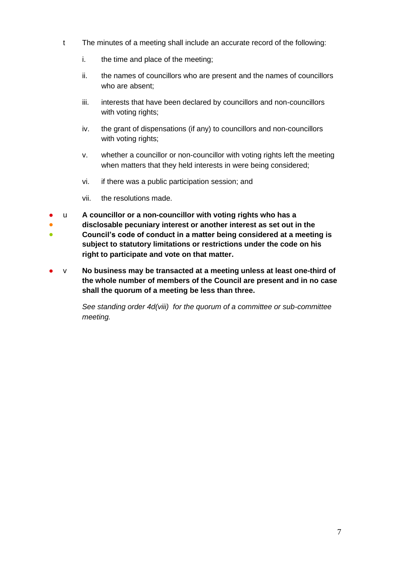- t The minutes of a meeting shall include an accurate record of the following:
	- i. the time and place of the meeting;
	- ii. the names of councillors who are present and the names of councillors who are absent;
	- iii. interests that have been declared by councillors and non-councillors with voting rights;
	- iv. the grant of dispensations (if any) to councillors and non-councillors with voting rights;
	- v. whether a councillor or non-councillor with voting rights left the meeting when matters that they held interests in were being considered;
	- vi. if there was a public participation session; and
	- vii. the resolutions made.
- u **A councillor or a non-councillor with voting rights who has a**
- ● **disclosable pecuniary interest or another interest as set out in the Council's code of conduct in a matter being considered at a meeting is subject to statutory limitations or restrictions under the code on his right to participate and vote on that matter.**
- v **No business may be transacted at a meeting unless at least one-third of the whole number of members of the Council are present and in no case shall the quorum of a meeting be less than three.**

*See standing order 4d(viii) for the quorum of a committee or sub-committee meeting.*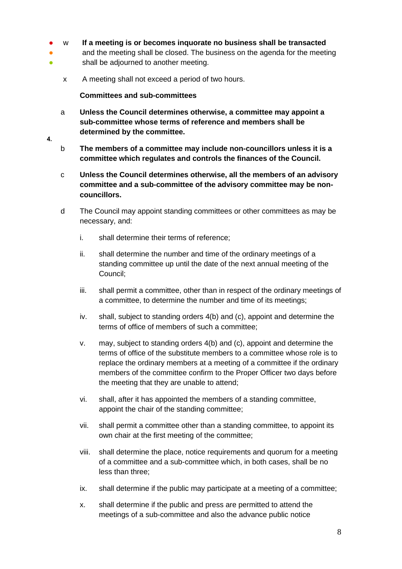- w **If a meeting is or becomes inquorate no business shall be transacted**
- ● and the meeting shall be closed. The business on the agenda for the meeting shall be adjourned to another meeting.
	- x A meeting shall not exceed a period of two hours.

#### **Committees and sub-committees**

 $\overline{\mathbf{4}}$ .

- <span id="page-7-0"></span>a **Unless the Council determines otherwise, a committee may appoint a sub-committee whose terms of reference and members shall be determined by the committee.**
- b **The members of a committee may include non-councillors unless it is a committee which regulates and controls the finances of the Council.**
	- c **Unless the Council determines otherwise, all the members of an advisory committee and a sub-committee of the advisory committee may be noncouncillors.**
	- d The Council may appoint standing committees or other committees as may be necessary, and:
		- i. shall determine their terms of reference;
		- ii. shall determine the number and time of the ordinary meetings of a standing committee up until the date of the next annual meeting of the Council;
		- iii. shall permit a committee, other than in respect of the ordinary meetings of a committee, to determine the number and time of its meetings;
		- iv. shall, subject to standing orders 4(b) and (c), appoint and determine the terms of office of members of such a committee;
		- v. may, subject to standing orders 4(b) and (c), appoint and determine the terms of office of the substitute members to a committee whose role is to replace the ordinary members at a meeting of a committee if the ordinary members of the committee confirm to the Proper Officer two days before the meeting that they are unable to attend;
		- vi. shall, after it has appointed the members of a standing committee, appoint the chair of the standing committee;
		- vii. shall permit a committee other than a standing committee, to appoint its own chair at the first meeting of the committee;
		- viii. shall determine the place, notice requirements and quorum for a meeting of a committee and a sub-committee which, in both cases, shall be no less than three;
		- ix. shall determine if the public may participate at a meeting of a committee;
		- x. shall determine if the public and press are permitted to attend the meetings of a sub-committee and also the advance public notice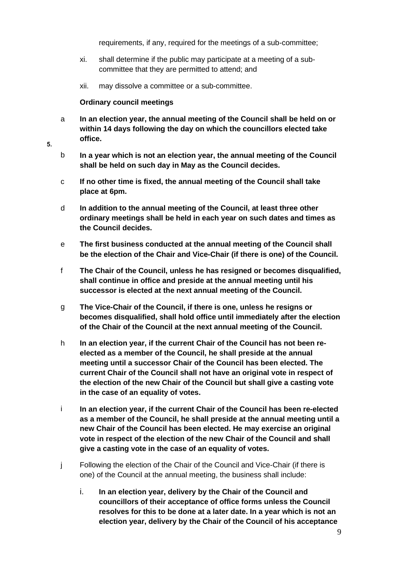requirements, if any, required for the meetings of a sub-committee;

- xi. shall determine if the public may participate at a meeting of a subcommittee that they are permitted to attend; and
- xii. may dissolve a committee or a sub-committee.

#### **Ordinary council meetings**

- <span id="page-8-0"></span>a **In an election year, the annual meeting of the Council shall be held on or within 14 days following the day on which the councillors elected take office.**
- 5.
- b **In a year which is not an election year, the annual meeting of the Council shall be held on such day in May as the Council decides.**
- c **If no other time is fixed, the annual meeting of the Council shall take place at 6pm.**
- d **In addition to the annual meeting of the Council, at least three other ordinary meetings shall be held in each year on such dates and times as the Council decides.**
- e **The first business conducted at the annual meeting of the Council shall be the election of the Chair and Vice-Chair (if there is one) of the Council.**
- f **The Chair of the Council, unless he has resigned or becomes disqualified, shall continue in office and preside at the annual meeting until his successor is elected at the next annual meeting of the Council.**
- g **The Vice-Chair of the Council, if there is one, unless he resigns or becomes disqualified, shall hold office until immediately after the election of the Chair of the Council at the next annual meeting of the Council.**
- h **In an election year, if the current Chair of the Council has not been reelected as a member of the Council, he shall preside at the annual meeting until a successor Chair of the Council has been elected. The current Chair of the Council shall not have an original vote in respect of the election of the new Chair of the Council but shall give a casting vote in the case of an equality of votes.**
- i **In an election year, if the current Chair of the Council has been re-elected as a member of the Council, he shall preside at the annual meeting until a new Chair of the Council has been elected. He may exercise an original vote in respect of the election of the new Chair of the Council and shall give a casting vote in the case of an equality of votes.**
- j Following the election of the Chair of the Council and Vice-Chair (if there is one) of the Council at the annual meeting, the business shall include:
	- i. **In an election year, delivery by the Chair of the Council and councillors of their acceptance of office forms unless the Council resolves for this to be done at a later date. In a year which is not an election year, delivery by the Chair of the Council of his acceptance**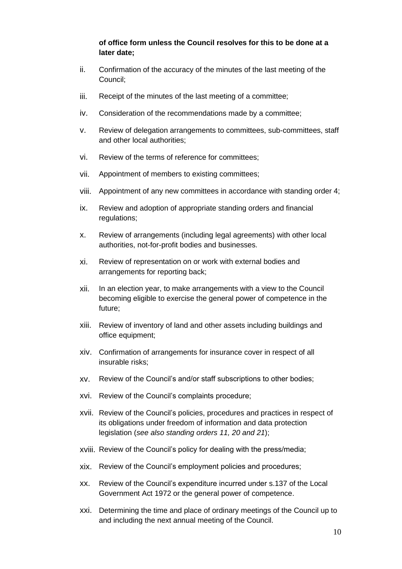#### **of office form unless the Council resolves for this to be done at a later date;**

- ii. Confirmation of the accuracy of the minutes of the last meeting of the Council;
- iii. Receipt of the minutes of the last meeting of a committee;
- iv. Consideration of the recommendations made by a committee;
- v. Review of delegation arrangements to committees, sub-committees, staff and other local authorities;
- vi. Review of the terms of reference for committees;
- vii. Appointment of members to existing committees;
- viii. Appointment of any new committees in accordance with standing order 4;
- ix. Review and adoption of appropriate standing orders and financial regulations;
- x. Review of arrangements (including legal agreements) with other local authorities, not-for-profit bodies and businesses.
- xi. Review of representation on or work with external bodies and arrangements for reporting back;
- xii. In an election year, to make arrangements with a view to the Council becoming eligible to exercise the general power of competence in the future;
- xiii. Review of inventory of land and other assets including buildings and office equipment;
- xiv. Confirmation of arrangements for insurance cover in respect of all insurable risks;
- xv. Review of the Council's and/or staff subscriptions to other bodies;
- xvi. Review of the Council's complaints procedure;
- xvii. Review of the Council's policies, procedures and practices in respect of its obligations under freedom of information and data protection legislation (*see also standing orders 11, 20 and 21*);
- xviii. Review of the Council's policy for dealing with the press/media;
- xix. Review of the Council's employment policies and procedures;
- xx. Review of the Council's expenditure incurred under s.137 of the Local Government Act 1972 or the general power of competence.
- xxi. Determining the time and place of ordinary meetings of the Council up to and including the next annual meeting of the Council.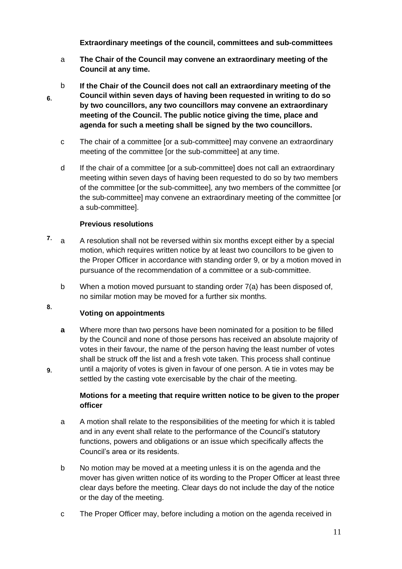**Extraordinary meetings of the council, committees and sub-committees**

- <span id="page-10-0"></span>a **The Chair of the Council may convene an extraordinary meeting of the Council at any time.**
- b **If the Chair of the Council does not call an extraordinary meeting of the Council within seven days of having been requested in writing to do so**  6. **by two councillors, any two councillors may convene an extraordinary meeting of the Council. The public notice giving the time, place and agenda for such a meeting shall be signed by the two councillors.**
	- c The chair of a committee [or a sub-committee] may convene an extraordinary meeting of the committee [or the sub-committee] at any time.
	- d If the chair of a committee [or a sub-committee] does not call an extraordinary meeting within seven days of having been requested to do so by two members of the committee [or the sub-committee], any two members of the committee [or the sub-committee] may convene an extraordinary meeting of the committee [or a sub-committee].

#### **Previous resolutions**

- <span id="page-10-1"></span> $7.$ a A resolution shall not be reversed within six months except either by a special motion, which requires written notice by at least two councillors to be given to the Proper Officer in accordance with standing order 9, or by a motion moved in pursuance of the recommendation of a committee or a sub-committee.
	- b When a motion moved pursuant to standing order 7(a) has been disposed of, no similar motion may be moved for a further six months.

#### <span id="page-10-2"></span>8. **Voting on appointments**

9.

**a** Where more than two persons have been nominated for a position to be filled by the Council and none of those persons has received an absolute majority of votes in their favour, the name of the person having the least number of votes shall be struck off the list and a fresh vote taken. This process shall continue until a majority of votes is given in favour of one person. A tie in votes may be settled by the casting vote exercisable by the chair of the meeting.

#### <span id="page-10-3"></span>**Motions for a meeting that require written notice to be given to the proper officer**

- a A motion shall relate to the responsibilities of the meeting for which it is tabled and in any event shall relate to the performance of the Council's statutory functions, powers and obligations or an issue which specifically affects the Council's area or its residents.
- b No motion may be moved at a meeting unless it is on the agenda and the mover has given written notice of its wording to the Proper Officer at least three clear days before the meeting. Clear days do not include the day of the notice or the day of the meeting.
- c The Proper Officer may, before including a motion on the agenda received in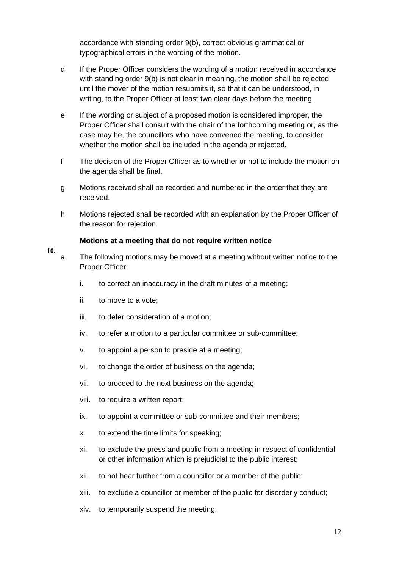accordance with standing order 9(b), correct obvious grammatical or typographical errors in the wording of the motion.

- d If the Proper Officer considers the wording of a motion received in accordance with standing order 9(b) is not clear in meaning, the motion shall be rejected until the mover of the motion resubmits it, so that it can be understood, in writing, to the Proper Officer at least two clear days before the meeting.
- e If the wording or subject of a proposed motion is considered improper, the Proper Officer shall consult with the chair of the forthcoming meeting or, as the case may be, the councillors who have convened the meeting, to consider whether the motion shall be included in the agenda or rejected.
- f The decision of the Proper Officer as to whether or not to include the motion on the agenda shall be final.
- g Motions received shall be recorded and numbered in the order that they are received.
- h Motions rejected shall be recorded with an explanation by the Proper Officer of the reason for rejection.

#### **Motions at a meeting that do not require written notice**

- <span id="page-11-0"></span> $10.$ a The following motions may be moved at a meeting without written notice to the Proper Officer:
	- i. to correct an inaccuracy in the draft minutes of a meeting;
	- ii. to move to a vote;
	- iii. to defer consideration of a motion;
	- iv. to refer a motion to a particular committee or sub-committee;
	- v. to appoint a person to preside at a meeting;
	- vi. to change the order of business on the agenda;
	- vii. to proceed to the next business on the agenda;
	- viii. to require a written report;
	- ix. to appoint a committee or sub-committee and their members;
	- x. to extend the time limits for speaking;
	- xi. to exclude the press and public from a meeting in respect of confidential or other information which is prejudicial to the public interest;
	- xii. to not hear further from a councillor or a member of the public;
	- xiii. to exclude a councillor or member of the public for disorderly conduct;
	- xiv. to temporarily suspend the meeting;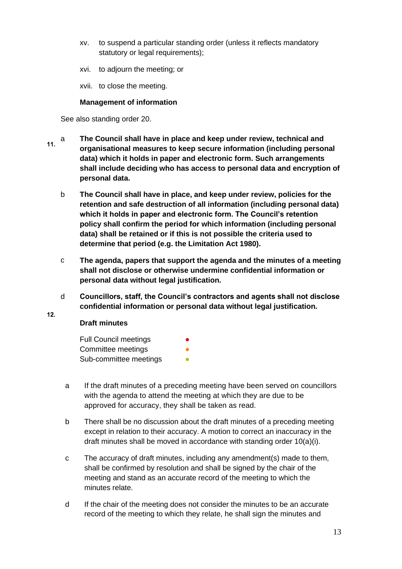- xv. to suspend a particular standing order (unless it reflects mandatory statutory or legal requirements);
- xvi. to adjourn the meeting; or
- xvii. to close the meeting.

#### **Management of information**

<span id="page-12-0"></span>See also standing order 20.

- a **The Council shall have in place and keep under review, technical and**   $11.$ **organisational measures to keep secure information (including personal data) which it holds in paper and electronic form. Such arrangements shall include deciding who has access to personal data and encryption of personal data.**
	- b **The Council shall have in place, and keep under review, policies for the retention and safe destruction of all information (including personal data) which it holds in paper and electronic form. The Council's retention policy shall confirm the period for which information (including personal data) shall be retained or if this is not possible the criteria used to determine that period (e.g. the Limitation Act 1980).**
	- c **The agenda, papers that support the agenda and the minutes of a meeting shall not disclose or otherwise undermine confidential information or personal data without legal justification.**
	- d **Councillors, staff, the Council's contractors and agents shall not disclose confidential information or personal data without legal justification.**

#### **Draft minutes**

<span id="page-12-1"></span> $12.$ 

**Full Council meetings** Committee meetings Sub-committee meetings

- a If the draft minutes of a preceding meeting have been served on councillors with the agenda to attend the meeting at which they are due to be approved for accuracy, they shall be taken as read.
- b There shall be no discussion about the draft minutes of a preceding meeting except in relation to their accuracy. A motion to correct an inaccuracy in the draft minutes shall be moved in accordance with standing order 10(a)(i).
- c The accuracy of draft minutes, including any amendment(s) made to them, shall be confirmed by resolution and shall be signed by the chair of the meeting and stand as an accurate record of the meeting to which the minutes relate.
- d If the chair of the meeting does not consider the minutes to be an accurate record of the meeting to which they relate, he shall sign the minutes and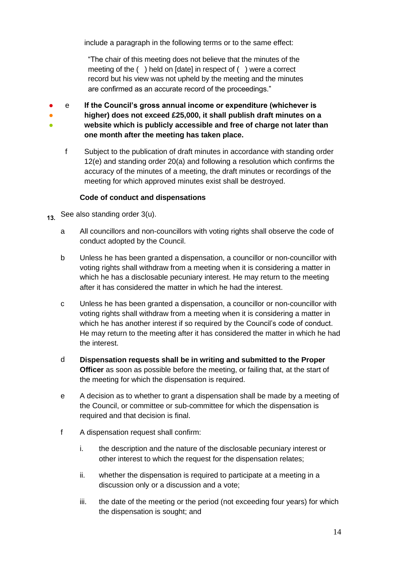include a paragraph in the following terms or to the same effect:

"The chair of this meeting does not believe that the minutes of the meeting of the ( ) held on [date] in respect of ( ) were a correct record but his view was not upheld by the meeting and the minutes are confirmed as an accurate record of the proceedings."

● ● ● e **If the Council's gross annual income or expenditure (whichever is higher) does not exceed £25,000, it shall publish draft minutes on a website which is publicly accessible and free of charge not later than one month after the meeting has taken place.**

f Subject to the publication of draft minutes in accordance with standing order 12(e) and standing order 20(a) and following a resolution which confirms the accuracy of the minutes of a meeting, the draft minutes or recordings of the meeting for which approved minutes exist shall be destroyed.

#### <span id="page-13-0"></span>**Code of conduct and dispensations**

- See also standing order 3(u).  $13<sup>7</sup>$ 
	- a All councillors and non-councillors with voting rights shall observe the code of conduct adopted by the Council.
	- b Unless he has been granted a dispensation, a councillor or non-councillor with voting rights shall withdraw from a meeting when it is considering a matter in which he has a disclosable pecuniary interest. He may return to the meeting after it has considered the matter in which he had the interest.
	- c Unless he has been granted a dispensation, a councillor or non-councillor with voting rights shall withdraw from a meeting when it is considering a matter in which he has another interest if so required by the Council's code of conduct. He may return to the meeting after it has considered the matter in which he had the interest.
	- d **Dispensation requests shall be in writing and submitted to the Proper Officer** as soon as possible before the meeting, or failing that, at the start of the meeting for which the dispensation is required.
	- e A decision as to whether to grant a dispensation shall be made by a meeting of the Council, or committee or sub-committee for which the dispensation is required and that decision is final.
	- f A dispensation request shall confirm:
		- i. the description and the nature of the disclosable pecuniary interest or other interest to which the request for the dispensation relates;
		- ii. whether the dispensation is required to participate at a meeting in a discussion only or a discussion and a vote;
		- iii. the date of the meeting or the period (not exceeding four years) for which the dispensation is sought; and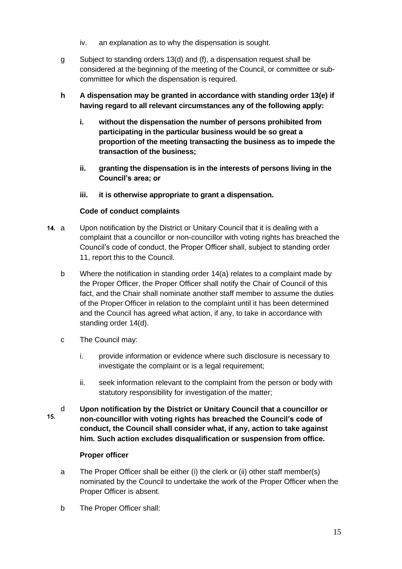- iv. an explanation as to why the dispensation is sought.
- g Subject to standing orders 13(d) and (f), a dispensation request shall be considered at the beginning of the meeting of the Council, or committee or subcommittee for which the dispensation is required.
- **h A dispensation may be granted in accordance with standing order 13(e) if having regard to all relevant circumstances any of the following apply:**
	- **i. without the dispensation the number of persons prohibited from participating in the particular business would be so great a proportion of the meeting transacting the business as to impede the transaction of the business;**
	- **ii. granting the dispensation is in the interests of persons living in the Council's area; or**
	- **iii. it is otherwise appropriate to grant a dispensation.**

#### **Code of conduct complaints**

- <span id="page-14-0"></span>14. a Upon notification by the District or Unitary Council that it is dealing with a complaint that a councillor or non-councillor with voting rights has breached the Council's code of conduct, the Proper Officer shall, subject to standing order 11, report this to the Council.
	- b Where the notification in standing order 14(a) relates to a complaint made by the Proper Officer, the Proper Officer shall notify the Chair of Council of this fact, and the Chair shall nominate another staff member to assume the duties of the Proper Officer in relation to the complaint until it has been determined and the Council has agreed what action, if any, to take in accordance with standing order 14(d).
	- c The Council may:
		- i. provide information or evidence where such disclosure is necessary to investigate the complaint or is a legal requirement;
		- ii. seek information relevant to the complaint from the person or body with statutory responsibility for investigation of the matter;
- d **Upon notification by the District or Unitary Council that a councillor or**   $15.$ **non-councillor with voting rights has breached the Council's code of conduct, the Council shall consider what, if any, action to take against him. Such action excludes disqualification or suspension from office.**

#### **Proper officer**

- <span id="page-14-1"></span>a The Proper Officer shall be either (i) the clerk or (ii) other staff member(s) nominated by the Council to undertake the work of the Proper Officer when the Proper Officer is absent.
- b The Proper Officer shall: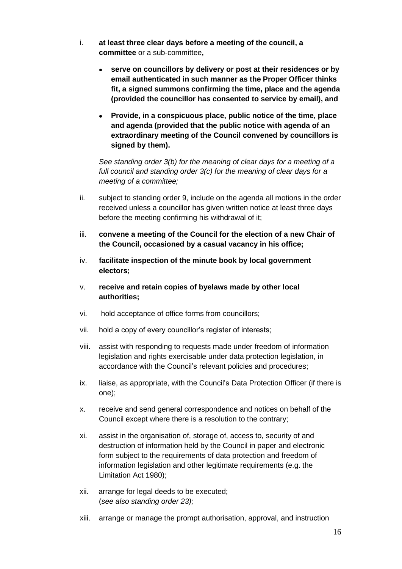- i. **at least three clear days before a meeting of the council, a committee** or a sub-committee**,**
	- **serve on councillors by delivery or post at their residences or by email authenticated in such manner as the Proper Officer thinks fit, a signed summons confirming the time, place and the agenda (provided the councillor has consented to service by email), and**
	- **Provide, in a conspicuous place, public notice of the time, place and agenda (provided that the public notice with agenda of an extraordinary meeting of the Council convened by councillors is signed by them).**

*See standing order 3(b) for the meaning of clear days for a meeting of a full council and standing order 3(c) for the meaning of clear days for a meeting of a committee;*

- ii. subject to standing order 9, include on the agenda all motions in the order received unless a councillor has given written notice at least three days before the meeting confirming his withdrawal of it;
- iii. **convene a meeting of the Council for the election of a new Chair of the Council, occasioned by a casual vacancy in his office;**
- iv. **facilitate inspection of the minute book by local government electors;**
- v. **receive and retain copies of byelaws made by other local authorities;**
- vi. hold acceptance of office forms from councillors;
- vii. hold a copy of every councillor's register of interests;
- viii. assist with responding to requests made under freedom of information legislation and rights exercisable under data protection legislation, in accordance with the Council's relevant policies and procedures;
- ix. liaise, as appropriate, with the Council's Data Protection Officer (if there is one);
- x. receive and send general correspondence and notices on behalf of the Council except where there is a resolution to the contrary;
- xi. assist in the organisation of, storage of, access to, security of and destruction of information held by the Council in paper and electronic form subject to the requirements of data protection and freedom of information legislation and other legitimate requirements (e.g. the Limitation Act 1980);
- xii. arrange for legal deeds to be executed; (*see also standing order 23);*
- xiii. arrange or manage the prompt authorisation, approval, and instruction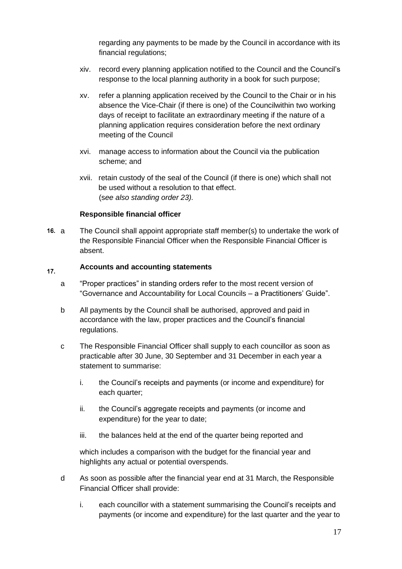regarding any payments to be made by the Council in accordance with its financial regulations;

- xiv. record every planning application notified to the Council and the Council's response to the local planning authority in a book for such purpose;
- xv. refer a planning application received by the Council to the Chair or in his absence the Vice-Chair (if there is one) of the Councilwithin two working days of receipt to facilitate an extraordinary meeting if the nature of a planning application requires consideration before the next ordinary meeting of the Council
- xvi. manage access to information about the Council via the publication scheme; and
- xvii. retain custody of the seal of the Council (if there is one) which shall not be used without a resolution to that effect. (s*ee also standing order 23).*

#### <span id="page-16-0"></span>**Responsible financial officer**

16. a The Council shall appoint appropriate staff member(s) to undertake the work of the Responsible Financial Officer when the Responsible Financial Officer is absent.

#### <span id="page-16-1"></span>**Accounts and accounting statements**  $17.$

- a "Proper practices" in standing orders refer to the most recent version of "Governance and Accountability for Local Councils – a Practitioners' Guide".
- b All payments by the Council shall be authorised, approved and paid in accordance with the law, proper practices and the Council's financial regulations.
- c The Responsible Financial Officer shall supply to each councillor as soon as practicable after 30 June, 30 September and 31 December in each year a statement to summarise:
	- i. the Council's receipts and payments (or income and expenditure) for each quarter;
	- ii. the Council's aggregate receipts and payments (or income and expenditure) for the year to date;
	- iii. the balances held at the end of the quarter being reported and

which includes a comparison with the budget for the financial year and highlights any actual or potential overspends.

- d As soon as possible after the financial year end at 31 March, the Responsible Financial Officer shall provide:
	- i. each councillor with a statement summarising the Council's receipts and payments (or income and expenditure) for the last quarter and the year to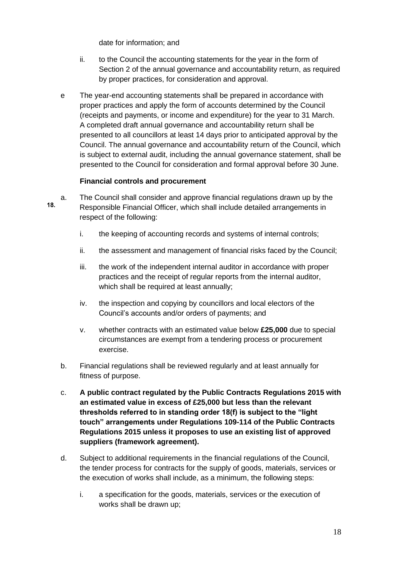date for information; and

- ii. to the Council the accounting statements for the year in the form of Section 2 of the annual governance and accountability return, as required by proper practices, for consideration and approval.
- e The year-end accounting statements shall be prepared in accordance with proper practices and apply the form of accounts determined by the Council (receipts and payments, or income and expenditure) for the year to 31 March. A completed draft annual governance and accountability return shall be presented to all councillors at least 14 days prior to anticipated approval by the Council. The annual governance and accountability return of the Council, which is subject to external audit, including the annual governance statement, shall be presented to the Council for consideration and formal approval before 30 June.

#### <span id="page-17-0"></span>**Financial controls and procurement**

- a. The Council shall consider and approve financial regulations drawn up by the 18. Responsible Financial Officer, which shall include detailed arrangements in respect of the following:
	- i. the keeping of accounting records and systems of internal controls;
	- ii. the assessment and management of financial risks faced by the Council;
	- iii. the work of the independent internal auditor in accordance with proper practices and the receipt of regular reports from the internal auditor, which shall be required at least annually;
	- iv. the inspection and copying by councillors and local electors of the Council's accounts and/or orders of payments; and
	- v. whether contracts with an estimated value below **£25,000** due to special circumstances are exempt from a tendering process or procurement exercise.
	- b. Financial regulations shall be reviewed regularly and at least annually for fitness of purpose.
	- c. **A public contract regulated by the Public Contracts Regulations 2015 with an estimated value in excess of £25,000 but less than the relevant thresholds referred to in standing order 18(f) is subject to the "light touch" arrangements under Regulations 109-114 of the Public Contracts Regulations 2015 unless it proposes to use an existing list of approved suppliers (framework agreement).**
	- d. Subject to additional requirements in the financial regulations of the Council, the tender process for contracts for the supply of goods, materials, services or the execution of works shall include, as a minimum, the following steps:
		- i. a specification for the goods, materials, services or the execution of works shall be drawn up;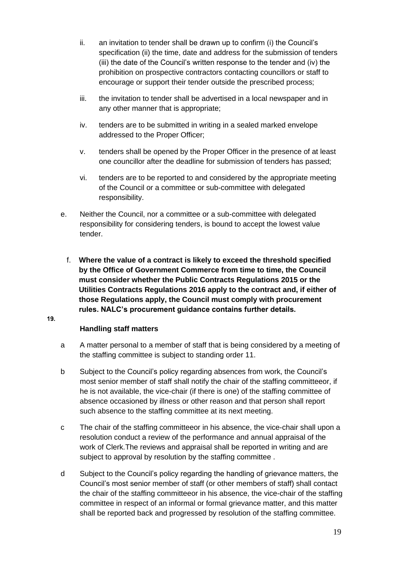- ii. an invitation to tender shall be drawn up to confirm (i) the Council's specification (ii) the time, date and address for the submission of tenders (iii) the date of the Council's written response to the tender and (iv) the prohibition on prospective contractors contacting councillors or staff to encourage or support their tender outside the prescribed process;
- iii. the invitation to tender shall be advertised in a local newspaper and in any other manner that is appropriate;
- iv. tenders are to be submitted in writing in a sealed marked envelope addressed to the Proper Officer;
- v. tenders shall be opened by the Proper Officer in the presence of at least one councillor after the deadline for submission of tenders has passed;
- vi. tenders are to be reported to and considered by the appropriate meeting of the Council or a committee or sub-committee with delegated responsibility.
- e. Neither the Council, nor a committee or a sub-committee with delegated responsibility for considering tenders, is bound to accept the lowest value tender.
	- f. **Where the value of a contract is likely to exceed the threshold specified by the Office of Government Commerce from time to time, the Council must consider whether the Public Contracts Regulations 2015 or the Utilities Contracts Regulations 2016 apply to the contract and, if either of those Regulations apply, the Council must comply with procurement rules. NALC's procurement guidance contains further details.**

#### <span id="page-18-0"></span>19.

#### **Handling staff matters**

- a A matter personal to a member of staff that is being considered by a meeting of the staffing committee is subject to standing order 11.
- b Subject to the Council's policy regarding absences from work, the Council's most senior member of staff shall notify the chair of the staffing committeeor, if he is not available, the vice-chair (if there is one) of the staffing committee of absence occasioned by illness or other reason and that person shall report such absence to the staffing committee at its next meeting.
- c The chair of the staffing committeeor in his absence, the vice-chair shall upon a resolution conduct a review of the performance and annual appraisal of the work of Clerk.The reviews and appraisal shall be reported in writing and are subject to approval by resolution by the staffing committee .
- d Subject to the Council's policy regarding the handling of grievance matters, the Council's most senior member of staff (or other members of staff) shall contact the chair of the staffing committeeor in his absence, the vice-chair of the staffing committee in respect of an informal or formal grievance matter, and this matter shall be reported back and progressed by resolution of the staffing committee.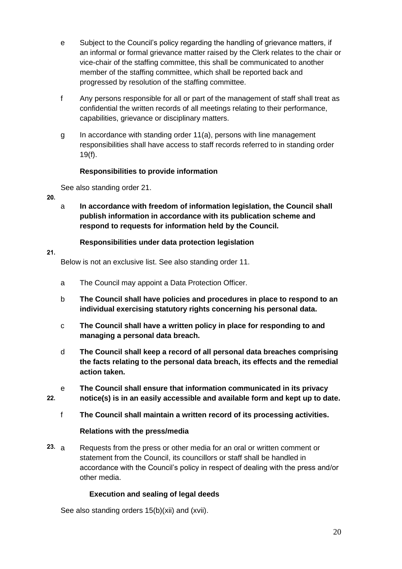- e Subject to the Council's policy regarding the handling of grievance matters, if an informal or formal grievance matter raised by the Clerk relates to the chair or vice-chair of the staffing committee, this shall be communicated to another member of the staffing committee, which shall be reported back and progressed by resolution of the staffing committee.
- f Any persons responsible for all or part of the management of staff shall treat as confidential the written records of all meetings relating to their performance, capabilities, grievance or disciplinary matters.
- g In accordance with standing order 11(a), persons with line management responsibilities shall have access to staff records referred to in standing order 19(f).

#### **Responsibilities to provide information**

<span id="page-19-0"></span>See also standing order 21.

- $20.$
- a **In accordance with freedom of information legislation, the Council shall publish information in accordance with its publication scheme and respond to requests for information held by the Council.**

#### **Responsibilities under data protection legislation**

<span id="page-19-1"></span> $21.$ 

Below is not an exclusive list. See also standing order 11.

- a The Council may appoint a Data Protection Officer.
- b **The Council shall have policies and procedures in place to respond to an individual exercising statutory rights concerning his personal data.**
- c **The Council shall have a written policy in place for responding to and managing a personal data breach.**
- d **The Council shall keep a record of all personal data breaches comprising the facts relating to the personal data breach, its effects and the remedial action taken.**
- e **The Council shall ensure that information communicated in its privacy**   $22.$ **notice(s) is in an easily accessible and available form and kept up to date.**
	- f **The Council shall maintain a written record of its processing activities.**

### <span id="page-19-2"></span>**Relations with the press/media**

23. a Requests from the press or other media for an oral or written comment or statement from the Council, its councillors or staff shall be handled in accordance with the Council's policy in respect of dealing with the press and/or other media.

### **Execution and sealing of legal deeds**

<span id="page-19-3"></span>See also standing orders 15(b)(xii) and (xvii).